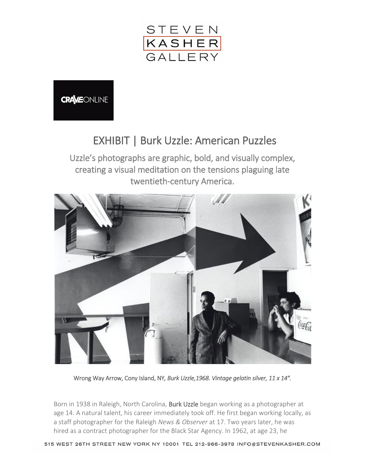

**CRAVEONLINE** 

## EXHIBIT | Burk Uzzle: American Puzzles

Uzzle's photographs are graphic, bold, and visually complex, creating a visual meditation on the tensions plaguing late twentieth-century America.



Wrong Way Arrow, Cony Island, NY*, Burk Uzzle,1968. Vintage gelatin silver, 11 x 14″.* 

Born in 1938 in Raleigh, North Carolina, **Burk Uzzle** began working as a photographer at age 14. A natural talent, his career immediately took off. He first began working locally, as a staff photographer for the Raleigh *News & Observer* at 17. Two years later, he was hired as a contract photographer for the Black Star Agency. In 1962, at age 23, he

515 WEST 26TH STREET NEW YORK NY 10001 TEL 212-966-3978 INFO@STEVENKASHER.COM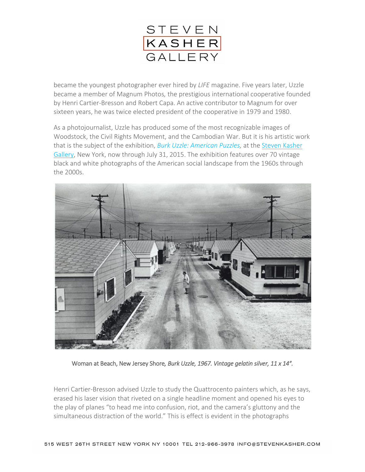

became the youngest photographer ever hired by *LIFE* magazine. Five years later, Uzzle became a member of Magnum Photos*,* the prestigious international cooperative founded by Henri Cartier-Bresson and Robert Capa. An active contributor to Magnum for over sixteen years, he was twice elected president of the cooperative in 1979 and 1980.

As a photojournalist, Uzzle has produced some of the most recognizable images of Woodstock, the Civil Rights Movement, and the Cambodian War. But it is his artistic work that is the subject of the exhibition, *[Burk Uzzle: American Puzzles,](http://www.stevenkasher.com/exhibitions/burk-uzzle-american-puzzles)* at the [Steven Kasher](http://www.stevenkasher.com/)  [Gallery,](http://www.stevenkasher.com/) New York, now through July 31, 2015. The exhibition features over 70 vintage black and white photographs of the American social landscape from the 1960s through the 2000s.



Woman at Beach, New Jersey Shore*, Burk Uzzle, 1967. Vintage gelatin silver, 11 x 14″.*

Henri Cartier-Bresson advised Uzzle to study the Quattrocento painters which, as he says, erased his laser vision that riveted on a single headline moment and opened his eyes to the play of planes "to head me into confusion, riot, and the camera's gluttony and the simultaneous distraction of the world." This is effect is evident in the photographs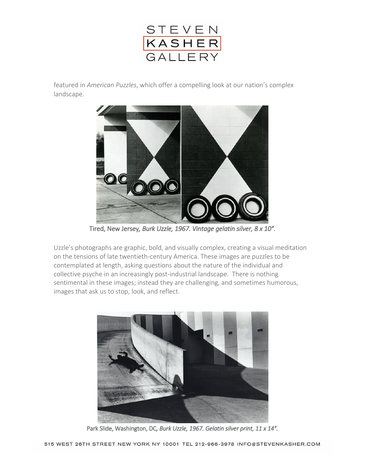

featured in *American Puzzles*, which offer a compelling look at our nation's complex landscape.



Tired, New Jersey*, Burk Uzzle, 1967. Vintage gelatin silver, 8 x 10″.* 

Uzzle's photographs are graphic, bold, and visually complex, creating a visual meditation on the tensions of late twentieth-century America. These images are puzzles to be contemplated at length, asking questions about the nature of the individual and collective psyche in an increasingly post-industrial landscape. There is nothing sentimental in these images; instead they are challenging, and sometimes humorous, images that ask us to stop, look, and reflect.



Park Slide, Washington, DC*, Burk Uzzle, 1967. Gelatin silver print, 11 x 14″.*